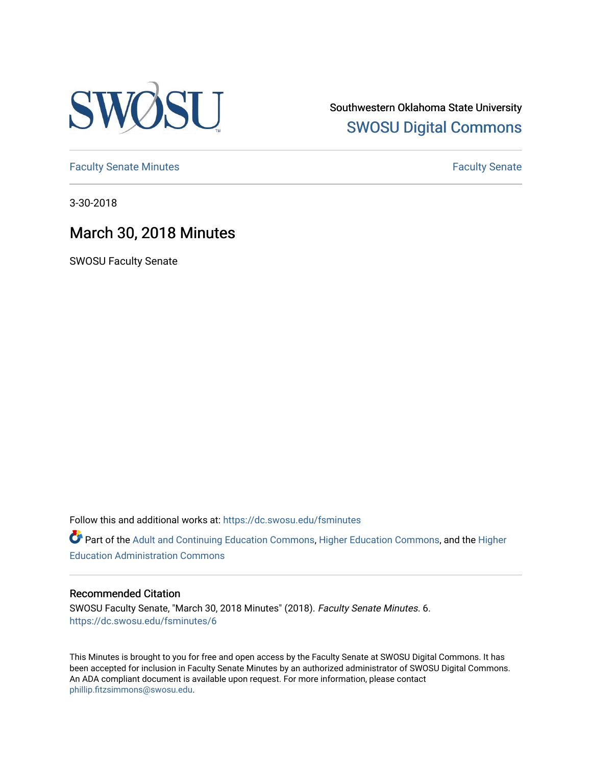

Southwestern Oklahoma State University [SWOSU Digital Commons](https://dc.swosu.edu/) 

[Faculty Senate Minutes](https://dc.swosu.edu/fsminutes) **Faculty** Senate Minutes

3-30-2018

# March 30, 2018 Minutes

SWOSU Faculty Senate

Follow this and additional works at: [https://dc.swosu.edu/fsminutes](https://dc.swosu.edu/fsminutes?utm_source=dc.swosu.edu%2Ffsminutes%2F6&utm_medium=PDF&utm_campaign=PDFCoverPages) 

Part of the [Adult and Continuing Education Commons,](http://network.bepress.com/hgg/discipline/1375?utm_source=dc.swosu.edu%2Ffsminutes%2F6&utm_medium=PDF&utm_campaign=PDFCoverPages) [Higher Education Commons,](http://network.bepress.com/hgg/discipline/1245?utm_source=dc.swosu.edu%2Ffsminutes%2F6&utm_medium=PDF&utm_campaign=PDFCoverPages) and the [Higher](http://network.bepress.com/hgg/discipline/791?utm_source=dc.swosu.edu%2Ffsminutes%2F6&utm_medium=PDF&utm_campaign=PDFCoverPages) [Education Administration Commons](http://network.bepress.com/hgg/discipline/791?utm_source=dc.swosu.edu%2Ffsminutes%2F6&utm_medium=PDF&utm_campaign=PDFCoverPages) 

#### Recommended Citation

SWOSU Faculty Senate, "March 30, 2018 Minutes" (2018). Faculty Senate Minutes. 6. [https://dc.swosu.edu/fsminutes/6](https://dc.swosu.edu/fsminutes/6?utm_source=dc.swosu.edu%2Ffsminutes%2F6&utm_medium=PDF&utm_campaign=PDFCoverPages)

This Minutes is brought to you for free and open access by the Faculty Senate at SWOSU Digital Commons. It has been accepted for inclusion in Faculty Senate Minutes by an authorized administrator of SWOSU Digital Commons. An ADA compliant document is available upon request. For more information, please contact [phillip.fitzsimmons@swosu.edu](mailto:phillip.fitzsimmons@swosu.edu).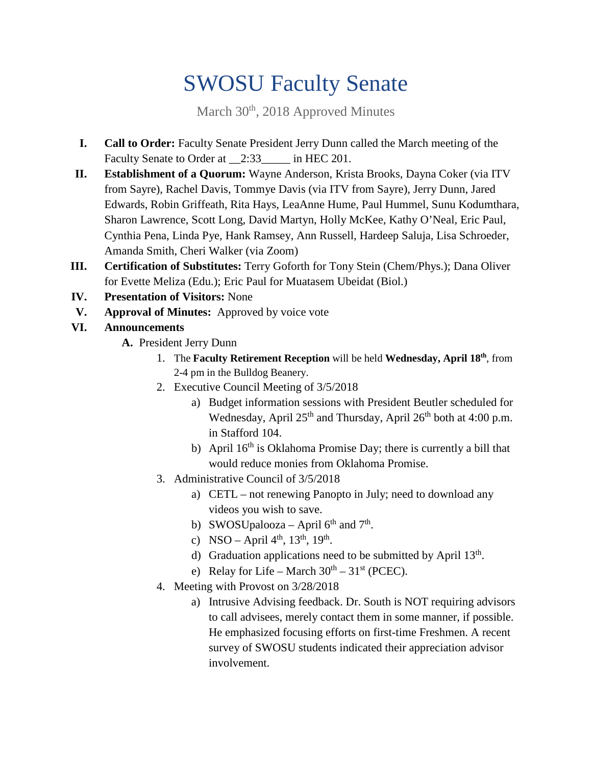# SWOSU Faculty Senate

March 30<sup>th</sup>, 2018 Approved Minutes

- **I. Call to Order:** Faculty Senate President Jerry Dunn called the March meeting of the Faculty Senate to Order at 2:33\_\_\_\_\_ in HEC 201.
- **II. Establishment of a Quorum:** Wayne Anderson, Krista Brooks, Dayna Coker (via ITV from Sayre), Rachel Davis, Tommye Davis (via ITV from Sayre), Jerry Dunn, Jared Edwards, Robin Griffeath, Rita Hays, LeaAnne Hume, Paul Hummel, Sunu Kodumthara, Sharon Lawrence, Scott Long, David Martyn, Holly McKee, Kathy O'Neal, Eric Paul, Cynthia Pena, Linda Pye, Hank Ramsey, Ann Russell, Hardeep Saluja, Lisa Schroeder, Amanda Smith, Cheri Walker (via Zoom)
- **III. Certification of Substitutes:** Terry Goforth for Tony Stein (Chem/Phys.); Dana Oliver for Evette Meliza (Edu.); Eric Paul for Muatasem Ubeidat (Biol.)
- **IV. Presentation of Visitors:** None
- **V. Approval of Minutes:** Approved by voice vote
- **VI. Announcements**
	- **A.** President Jerry Dunn
		- 1. The **Faculty Retirement Reception** will be held **Wednesday, April 18th**, from 2-4 pm in the Bulldog Beanery.
		- 2. Executive Council Meeting of 3/5/2018
			- a) Budget information sessions with President Beutler scheduled for Wednesday, April 25<sup>th</sup> and Thursday, April 26<sup>th</sup> both at 4:00 p.m. in Stafford 104.
			- b) April  $16<sup>th</sup>$  is Oklahoma Promise Day; there is currently a bill that would reduce monies from Oklahoma Promise.
		- 3. Administrative Council of 3/5/2018
			- a) CETL not renewing Panopto in July; need to download any videos you wish to save.
			- b) SWOSUpalooza April  $6<sup>th</sup>$  and  $7<sup>th</sup>$ .
			- c) NSO April  $4^{th}$ ,  $13^{th}$ ,  $19^{th}$ .
			- d) Graduation applications need to be submitted by April  $13<sup>th</sup>$ .
			- e) Relay for Life March  $30<sup>th</sup>$   $31<sup>st</sup>$  (PCEC).
		- 4. Meeting with Provost on 3/28/2018
			- a) Intrusive Advising feedback. Dr. South is NOT requiring advisors to call advisees, merely contact them in some manner, if possible. He emphasized focusing efforts on first-time Freshmen. A recent survey of SWOSU students indicated their appreciation advisor involvement.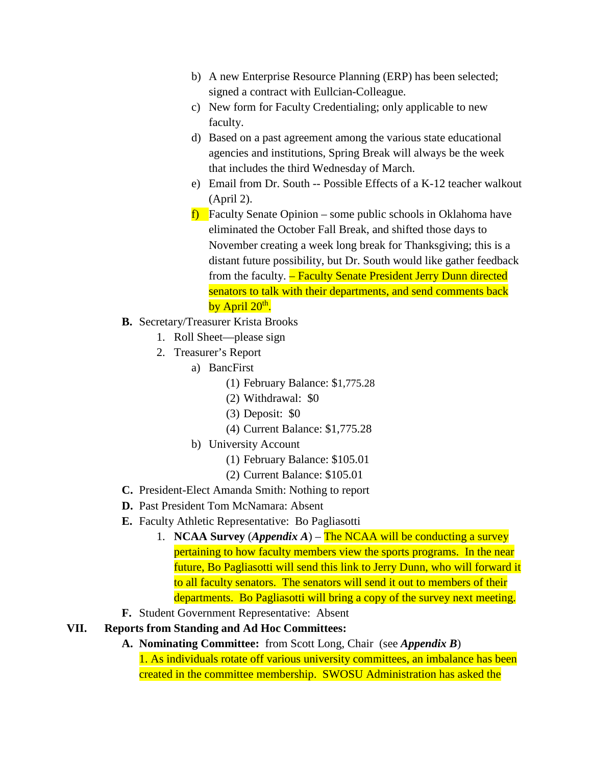- b) A new Enterprise Resource Planning (ERP) has been selected; signed a contract with Eullcian-Colleague.
- c) New form for Faculty Credentialing; only applicable to new faculty.
- d) Based on a past agreement among the various state educational agencies and institutions, Spring Break will always be the week that includes the third Wednesday of March.
- e) Email from Dr. South -- Possible Effects of a K-12 teacher walkout (April 2).
- **f)** Faculty Senate Opinion some public schools in Oklahoma have eliminated the October Fall Break, and shifted those days to November creating a week long break for Thanksgiving; this is a distant future possibility, but Dr. South would like gather feedback from the faculty. – Faculty Senate President Jerry Dunn directed senators to talk with their departments, and send comments back by April  $20<sup>th</sup>$ .
- **B.** Secretary/Treasurer Krista Brooks
	- 1. Roll Sheet—please sign
	- 2. Treasurer's Report
		- a) BancFirst
			- (1) February Balance: \$1,775.28
			- (2) Withdrawal: \$0
			- (3) Deposit: \$0
			- (4) Current Balance: \$1,775.28
		- b) University Account
			- (1) February Balance: \$105.01
			- (2) Current Balance: \$105.01
- **C.** President-Elect Amanda Smith: Nothing to report
- **D.** Past President Tom McNamara: Absent
- **E.** Faculty Athletic Representative: Bo Pagliasotti
	- 1. **NCAA Survey** (*Appendix A*) The NCAA will be conducting a survey pertaining to how faculty members view the sports programs. In the near future, Bo Pagliasotti will send this link to Jerry Dunn, who will forward it to all faculty senators. The senators will send it out to members of their departments. Bo Pagliasotti will bring a copy of the survey next meeting.
- **F.** Student Government Representative: Absent
- **VII. Reports from Standing and Ad Hoc Committees:** 
	- **A. Nominating Committee:** from Scott Long, Chair (see *Appendix B*) 1. As individuals rotate off various university committees, an imbalance has been created in the committee membership. SWOSU Administration has asked the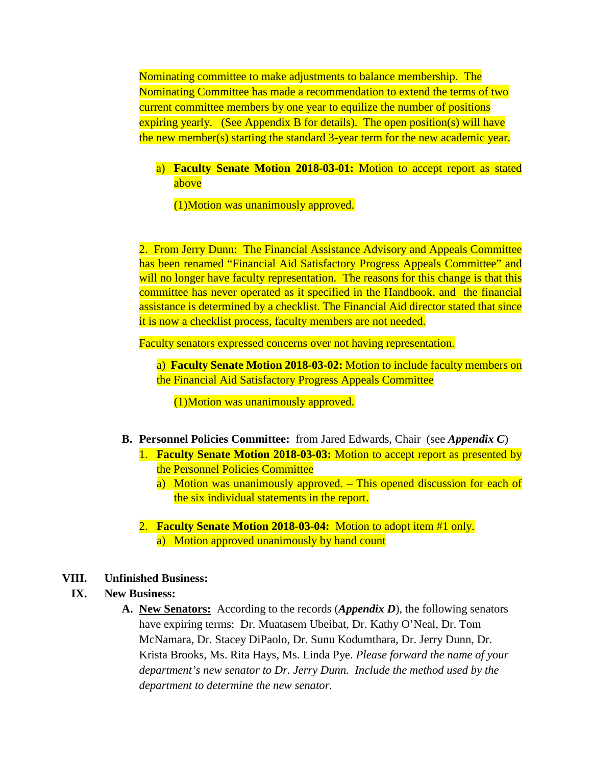Nominating committee to make adjustments to balance membership. The Nominating Committee has made a recommendation to extend the terms of two current committee members by one year to equilize the number of positions expiring yearly. (See Appendix B for details). The open position(s) will have the new member(s) starting the standard 3-year term for the new academic year.

#### a) **Faculty Senate Motion 2018-03-01:** Motion to accept report as stated above

(1)Motion was unanimously approved.

2. From Jerry Dunn: The Financial Assistance Advisory and Appeals Committee has been renamed "Financial Aid Satisfactory Progress Appeals Committee" and will no longer have faculty representation. The reasons for this change is that this committee has never operated as it specified in the Handbook, and the financial assistance is determined by a checklist. The Financial Aid director stated that since it is now a checklist process, faculty members are not needed.

Faculty senators expressed concerns over not having representation.

a) **Faculty Senate Motion 2018-03-02:** Motion to include faculty members on the Financial Aid Satisfactory Progress Appeals Committee

(1)Motion was unanimously approved.

- **B. Personnel Policies Committee:** from Jared Edwards, Chair (see *Appendix C*)
	- 1. **Faculty Senate Motion 2018-03-03:** Motion to accept report as presented by the Personnel Policies Committee
		- a) Motion was unanimously approved. This opened discussion for each of the six individual statements in the report.
	- 2. **Faculty Senate Motion 2018-03-04:** Motion to adopt item #1 only. a) Motion approved unanimously by hand count

#### **VIII. Unfinished Business:**

#### **IX. New Business:**

**A. New Senators:** According to the records (*Appendix D*), the following senators have expiring terms: Dr. Muatasem Ubeibat, Dr. Kathy O'Neal, Dr. Tom McNamara, Dr. Stacey DiPaolo, Dr. Sunu Kodumthara, Dr. Jerry Dunn, Dr. Krista Brooks, Ms. Rita Hays, Ms. Linda Pye. *Please forward the name of your department's new senator to Dr. Jerry Dunn. Include the method used by the department to determine the new senator.*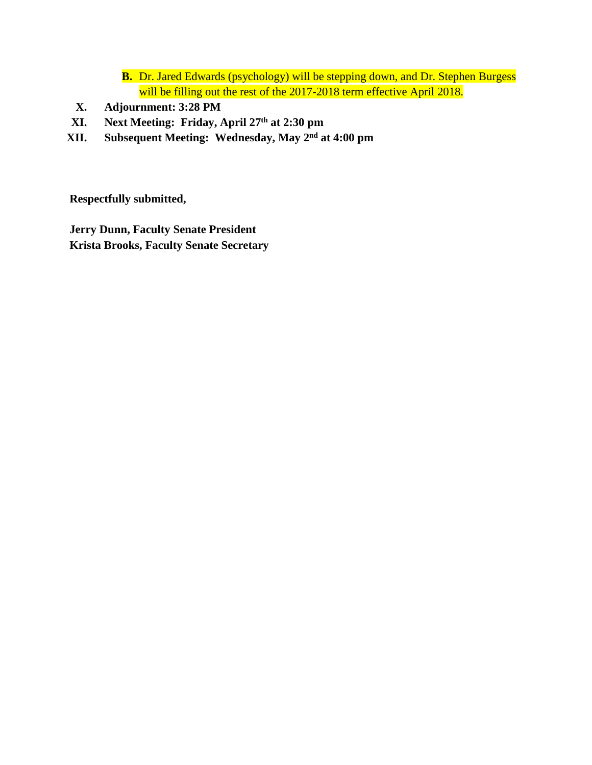- **B.** Dr. Jared Edwards (psychology) will be stepping down, and Dr. Stephen Burgess will be filling out the rest of the 2017-2018 term effective April 2018.
- **X. Adjournment: 3:28 PM**
- **XI. Next Meeting: Friday, April 27th at 2:30 pm**
- **XII. Subsequent Meeting: Wednesday, May 2nd at 4:00 pm**

**Respectfully submitted,**

**Jerry Dunn, Faculty Senate President Krista Brooks, Faculty Senate Secretary**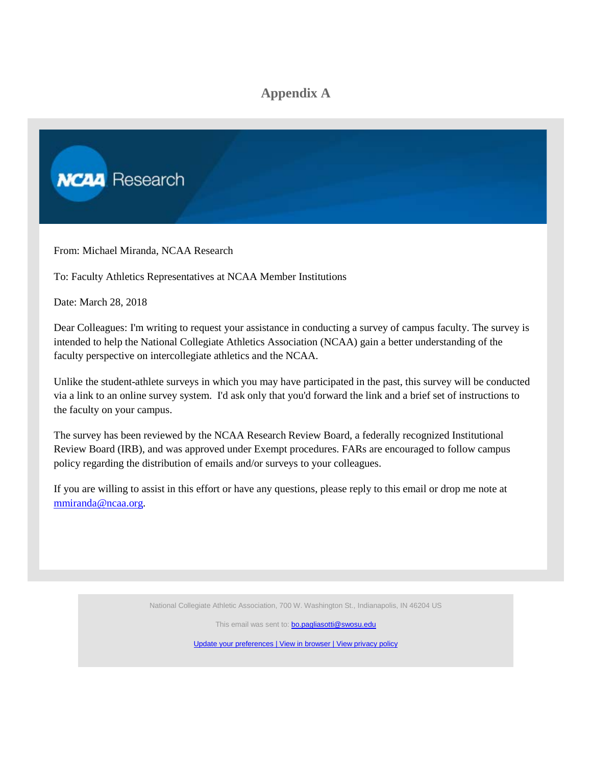### **Appendix A**



From: Michael Miranda, NCAA Research

To: Faculty Athletics Representatives at NCAA Member Institutions

Date: March 28, 2018

Dear Colleagues: I'm writing to request your assistance in conducting a survey of campus faculty. The survey is intended to help the National Collegiate Athletics Association (NCAA) gain a better understanding of the faculty perspective on intercollegiate athletics and the NCAA.

Unlike the student-athlete surveys in which you may have participated in the past, this survey will be conducted via a link to an online survey system. I'd ask only that you'd forward the link and a brief set of instructions to the faculty on your campus.

The survey has been reviewed by the NCAA Research Review Board, a federally recognized Institutional Review Board (IRB), and was approved under Exempt procedures. FARs are encouraged to follow campus policy regarding the distribution of emails and/or surveys to your colleagues.

If you are willing to assist in this effort or have any questions, please reply to this email or drop me note at [mmiranda@ncaa.org.](mailto:mmiranda@ncaa.org?subject=2018%20Faculty%20Survey)

National Collegiate Athletic Association, 700 W. Washington St., Indianapolis, IN 46204 US

This email was sent to: bo.pagliasotti@swosu.edu

[Update your preferences |](http://click.mail2.ncaa.com/profile_center.aspx?qs=0680b3354fd708c846e45cf25ebe2112e2e8d4b5d10fdcb3d2c027ccc3c38b6b503f21e7d6b20f342f5764f65b75075d4e09de9de1935b7cc6a2a7171ad51a4e6c32a111a7c86a82) [View in browser |](http://view.mail2.ncaa.com/?qs=ae84b7b0fcd56e0fde942f02a2868e8fddc413d1e855a64c637e3622d34c6302dac95657f29034ef5af3be61d9bd6c712520ef3d96a0f9c8d6d4832df4c487c14defa16edb6f52ec48a22ca7a96d218a55948669fff5e5c7) [View privacy policy](http://click.mail2.ncaa.com/?qs=47e563901f487ef51b2800ab83421d0e8d8430c092645d1ff99f86b379c4c5570d5f45f8b9fc31baad4695c1524c76089312d38c4b3e5d27)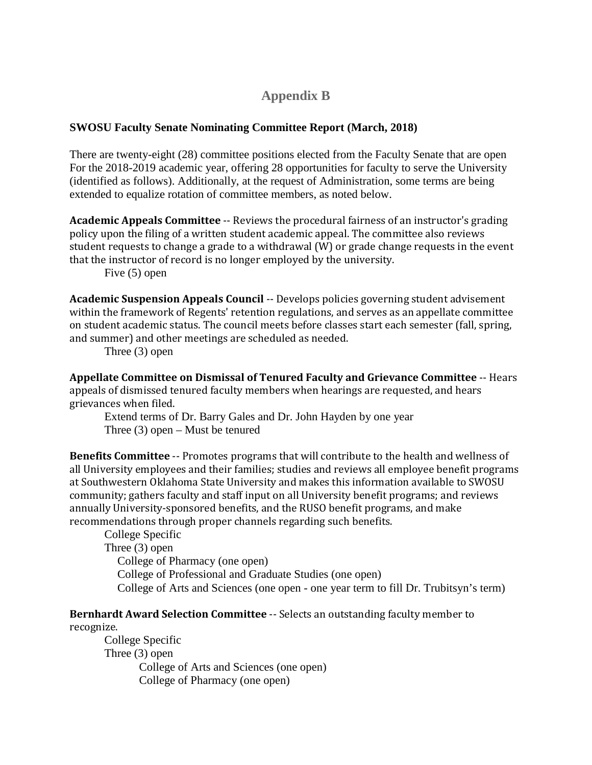### **Appendix B**

#### **SWOSU Faculty Senate Nominating Committee Report (March, 2018)**

There are twenty-eight (28) committee positions elected from the Faculty Senate that are open For the 2018-2019 academic year, offering 28 opportunities for faculty to serve the University (identified as follows). Additionally, at the request of Administration, some terms are being extended to equalize rotation of committee members, as noted below.

**Academic Appeals Committee** ‐‐ Reviews the procedural fairness of an instructor's grading policy upon the filing of a written student academic appeal. The committee also reviews student requests to change a grade to a withdrawal (W) or grade change requests in the event that the instructor of record is no longer employed by the university.

Five (5) open

**Academic Suspension Appeals Council** ‐‐ Develops policies governing student advisement within the framework of Regents' retention regulations, and serves as an appellate committee on student academic status. The council meets before classes start each semester (fall, spring, and summer) and other meetings are scheduled as needed.

Three (3) open

**Appellate Committee on Dismissal of Tenured Faculty and Grievance Committee** ‐‐ Hears appeals of dismissed tenured faculty members when hearings are requested, and hears grievances when filed.

Extend terms of Dr. Barry Gales and Dr. John Hayden by one year Three (3) open – Must be tenured

**Benefits Committee** ‐‐ Promotes programs that will contribute to the health and wellness of all University employees and their families; studies and reviews all employee benefit programs at Southwestern Oklahoma State University and makes this information available to SWOSU community; gathers faculty and staff input on all University benefit programs; and reviews annually University‐sponsored benefits, and the RUSO benefit programs, and make recommendations through proper channels regarding such benefits.

College Specific Three (3) open College of Pharmacy (one open) College of Professional and Graduate Studies (one open) College of Arts and Sciences (one open - one year term to fill Dr. Trubitsyn's term)

#### **Bernhardt Award Selection Committee** ‐‐ Selects an outstanding faculty member to recognize.

College Specific Three (3) open College of Arts and Sciences (one open) College of Pharmacy (one open)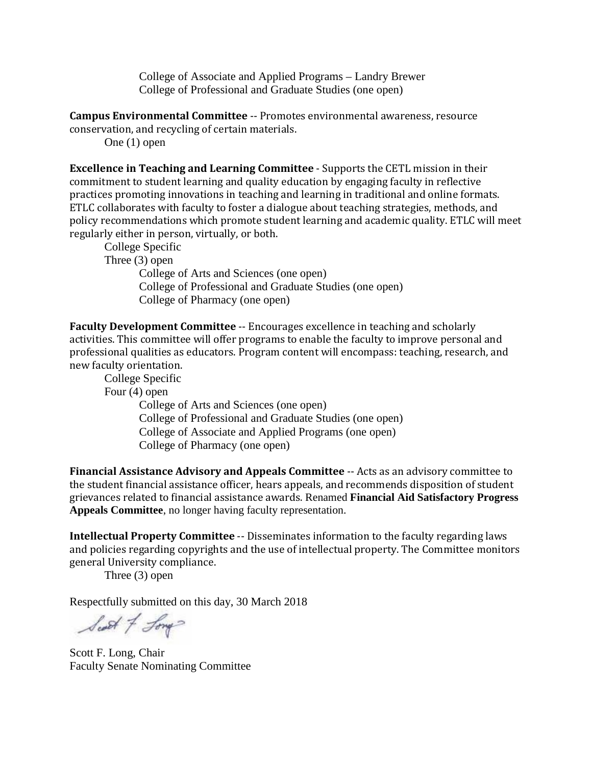College of Associate and Applied Programs – Landry Brewer College of Professional and Graduate Studies (one open)

**Campus Environmental Committee** ‐‐ Promotes environmental awareness, resource conservation, and recycling of certain materials.

One (1) open

**Excellence in Teaching and Learning Committee** ‐ Supports the CETL mission in their commitment to student learning and quality education by engaging faculty in reflective practices promoting innovations in teaching and learning in traditional and online formats. ETLC collaborates with faculty to foster a dialogue about teaching strategies, methods, and policy recommendations which promote student learning and academic quality. ETLC will meet regularly either in person, virtually, or both.

College Specific Three (3) open College of Arts and Sciences (one open) College of Professional and Graduate Studies (one open) College of Pharmacy (one open)

**Faculty Development Committee** ‐‐ Encourages excellence in teaching and scholarly activities. This committee will offer programs to enable the faculty to improve personal and professional qualities as educators. Program content will encompass: teaching, research, and new faculty orientation.

College Specific Four (4) open College of Arts and Sciences (one open) College of Professional and Graduate Studies (one open) College of Associate and Applied Programs (one open) College of Pharmacy (one open)

**Financial Assistance Advisory and Appeals Committee** ‐‐ Acts as an advisory committee to the student financial assistance officer, hears appeals, and recommends disposition of student grievances related to financial assistance awards. Renamed **Financial Aid Satisfactory Progress Appeals Committee**, no longer having faculty representation.

**Intellectual Property Committee -- Disseminates information to the faculty regarding laws** and policies regarding copyrights and the use of intellectual property. The Committee monitors general University compliance.

Three (3) open

Respectfully submitted on this day, 30 March 2018

Scott of Long

Scott F. Long, Chair Faculty Senate Nominating Committee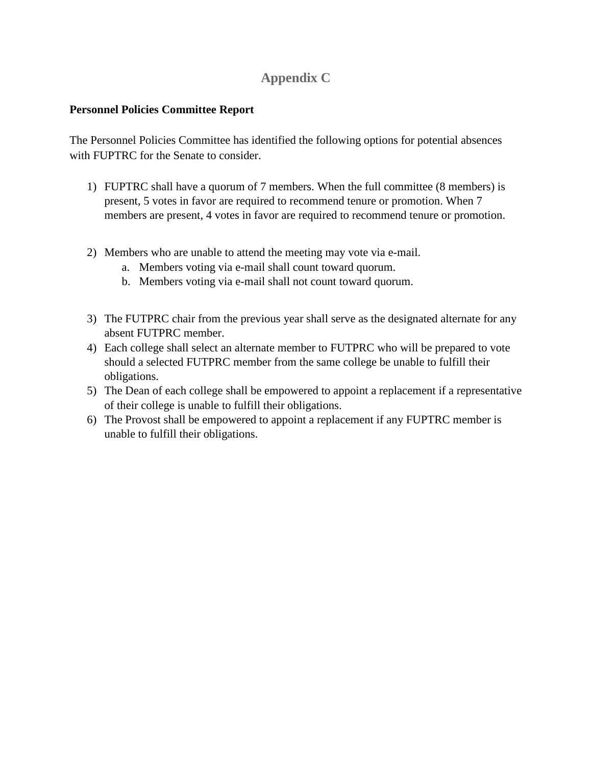# **Appendix C**

#### **Personnel Policies Committee Report**

The Personnel Policies Committee has identified the following options for potential absences with FUPTRC for the Senate to consider.

- 1) FUPTRC shall have a quorum of 7 members. When the full committee (8 members) is present, 5 votes in favor are required to recommend tenure or promotion. When 7 members are present, 4 votes in favor are required to recommend tenure or promotion.
- 2) Members who are unable to attend the meeting may vote via e-mail.
	- a. Members voting via e-mail shall count toward quorum.
	- b. Members voting via e-mail shall not count toward quorum.
- 3) The FUTPRC chair from the previous year shall serve as the designated alternate for any absent FUTPRC member.
- 4) Each college shall select an alternate member to FUTPRC who will be prepared to vote should a selected FUTPRC member from the same college be unable to fulfill their obligations.
- 5) The Dean of each college shall be empowered to appoint a replacement if a representative of their college is unable to fulfill their obligations.
- 6) The Provost shall be empowered to appoint a replacement if any FUPTRC member is unable to fulfill their obligations.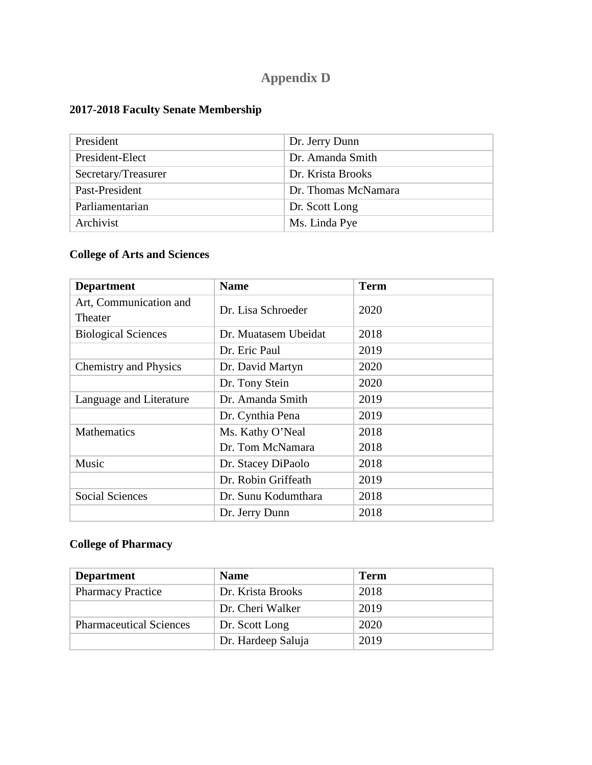# **Appendix D**

# **2017-2018 Faculty Senate Membership**

| President           | Dr. Jerry Dunn      |
|---------------------|---------------------|
| President-Elect     | Dr. Amanda Smith    |
| Secretary/Treasurer | Dr. Krista Brooks   |
| Past-President      | Dr. Thomas McNamara |
| Parliamentarian     | Dr. Scott Long      |
| Archivist           | Ms. Linda Pye       |

# **College of Arts and Sciences**

| <b>Department</b>            | <b>Name</b>          | <b>Term</b> |
|------------------------------|----------------------|-------------|
| Art, Communication and       | Dr. Lisa Schroeder   | 2020        |
| Theater                      |                      |             |
| <b>Biological Sciences</b>   | Dr. Muatasem Ubeidat | 2018        |
|                              | Dr. Eric Paul        | 2019        |
| <b>Chemistry and Physics</b> | Dr. David Martyn     | 2020        |
|                              | Dr. Tony Stein       | 2020        |
| Language and Literature      | Dr. Amanda Smith     | 2019        |
|                              | Dr. Cynthia Pena     | 2019        |
| <b>Mathematics</b>           | Ms. Kathy O'Neal     | 2018        |
|                              | Dr. Tom McNamara     | 2018        |
| Music                        | Dr. Stacey DiPaolo   | 2018        |
|                              | Dr. Robin Griffeath  | 2019        |
| <b>Social Sciences</b>       | Dr. Sunu Kodumthara  | 2018        |
|                              | Dr. Jerry Dunn       | 2018        |

# **College of Pharmacy**

| <b>Department</b>              | <b>Name</b>        | <b>Term</b> |
|--------------------------------|--------------------|-------------|
| <b>Pharmacy Practice</b>       | Dr. Krista Brooks  | 2018        |
|                                | Dr. Cheri Walker   | 2019        |
| <b>Pharmaceutical Sciences</b> | Dr. Scott Long     | 2020        |
|                                | Dr. Hardeep Saluja | 2019        |